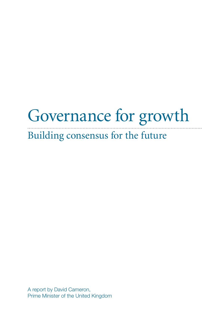# Governance for growth

Building consensus for the future

A report by David Cameron, Prime Minister of the United Kingdom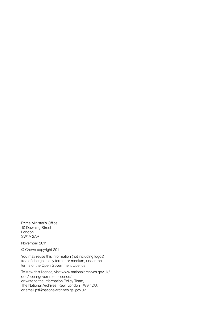Prime Minister's Office 10 Downing Street London SW1A 2AA

November 2011

© Crown copyright 2011

You may reuse this information (not including logos) free of charge in any format or medium, under the terms of the Open Government Licence.

To view this licence, visit www.nationalarchives.gov.uk/ doc/open-government-licence/ or write to the Information Policy Team, The National Archives, Kew, London TW9 4DU, or email psi@nationalarchives.gsi.gov.uk.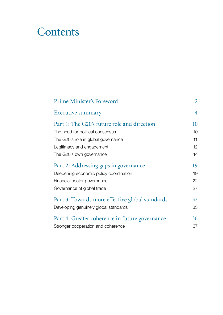# **Contents**

| <b>Prime Minister's Foreword</b>                | $\overline{2}$  |
|-------------------------------------------------|-----------------|
| Executive summary                               | 4               |
| Part 1: The G20's future role and direction     | 10              |
| The need for political consensus                | 10              |
| The G20's role in global governance             | 11              |
| Legitimacy and engagement                       | 12 <sup>°</sup> |
| The G20's own governance                        | 14              |
| Part 2: Addressing gaps in governance           | 19              |
| Deepening economic policy coordination          | 19              |
| Financial sector governance                     | 22              |
| Governance of global trade                      | 27              |
| Part 3: Towards more effective global standards | 32              |
| Developing genuinely global standards           | 33              |
| Part 4: Greater coherence in future governance  | 36              |
| Stronger cooperation and coherence              | 37              |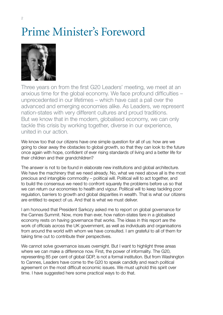# Prime Minister's Foreword



Three years on from the first G20 Leaders' meeting, we meet at an anxious time for the global economy. We face profound difficulties – unprecedented in our lifetimes – which have cast a pall over the advanced and emerging economies alike. As Leaders, we represent nation-states with very different cultures and proud traditions. But we know that in the modern, globalised economy, we can only tackle this crisis by working together, diverse in our experience, united in our action.

We know too that our citizens have one simple question for all of us: how are we going to clear away the obstacles to global growth, so that they can look to the future once again with hope, confident of ever rising standards of living and a better life for their children and their grandchildren?

The answer is not to be found in elaborate new institutions and global architecture. We have the machinery that we need already. No, what we need above all is the most precious and intangible commodity – political will. Political will to act together, and to build the consensus we need to confront squarely the problems before us so that we can return our economies to health and vigour. Political will to keep tackling poor regulation, barriers to growth and global disparities in wealth. That is what our citizens are entitled to expect of us. And that is what we must deliver.

I am honoured that President Sarkozy asked me to report on global governance for the Cannes Summit. Now, more than ever, how nation-states fare in a globalised economy rests on having governance that works. The ideas in this report are the work of officials across the UK government, as well as individuals and organisations from around the world with whom we have consulted. I am grateful to all of them for taking time out to contribute their perspectives.

We cannot solve governance issues overnight. But I want to highlight three areas where we can make a difference now. First, the power of informality. The G20, representing 85 per cent of global GDP, is not a formal institution. But from Washington to Cannes, Leaders have come to the G20 to speak candidly and reach political agreement on the most difficult economic issues. We must uphold this spirit over time. I have suggested here some practical ways to do that.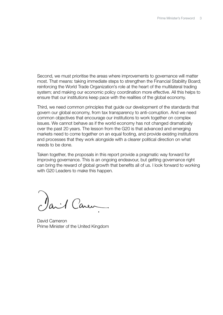Second, we must prioritise the areas where improvements to governance will matter most. That means: taking immediate steps to strengthen the Financial Stability Board; reinforcing the World Trade Organization's role at the heart of the multilateral trading system; and making our economic policy coordination more effective. All this helps to ensure that our institutions keep pace with the realities of the global economy.

Third, we need common principles that guide our development of the standards that govern our global economy, from tax transparency to anti-corruption. And we need common objectives that encourage our institutions to work together on complex issues. We cannot behave as if the world economy has not changed dramatically over the past 20 years. The lesson from the G20 is that advanced and emerging markets need to come together on an equal footing, and provide existing institutions and processes that they work alongside with a clearer political direction on what needs to be done.

Taken together, the proposals in this report provide a pragmatic way forward for improving governance. This is an ongoing endeavour, but getting governance right can bring the reward of global growth that benefits all of us. I look forward to working with G20 Leaders to make this happen.

Paril Caren

David Cameron Prime Minister of the United Kingdom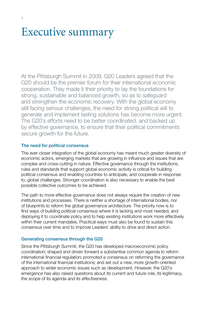# Executive summary

At the Pittsburgh Summit in 2009, G20 Leaders agreed that the G20 should be the premier forum for their international economic cooperation. They made it their priority to lay the foundations for strong, sustainable and balanced growth, so as to safeguard and strengthen the economic recovery. With the global economy still facing serious challenges, the need for strong political will to generate and implement lasting solutions has become more urgent. The G20's efforts need to be better coordinated, and backed up by effective governance, to ensure that their political commitments secure growth for the future.

# The need for political consensus

The ever closer integration of the global economy has meant much greater diversity of economic actors, emerging markets that are growing in influence and issues that are complex and cross-cutting in nature. Effective governance through the institutions, rules and standards that support global economic activity is critical for building political consensus and enabling countries to anticipate, and cooperate in response to, global challenges. Stronger coordination is also necessary to enable the best possible collective outcomes to be achieved.

The path to more effective governance does not always require the creation of new institutions and processes. There is neither a shortage of international bodies, nor of blueprints to reform the global governance architecture. The priority now is to find ways of building political consensus where it is lacking and most needed, and deploying it to coordinate policy and to help existing institutions work more effectively within their current mandates. Practical ways must also be found to sustain this consensus over time and to improve Leaders' ability to drive and direct action.

# Generating consensus through the G20

Since the Pittsburgh Summit, the G20 has developed macroeconomic policy coordination; shaped and driven forward a substantive common agenda to reform international financial regulation; promoted a consensus on reforming the governance of the international financial institutions; and set out a new, more growth-oriented approach to wider economic issues such as development. However, the G20's emergence has also raised questions about its current and future role, its legitimacy, the scope of its agenda and its effectiveness.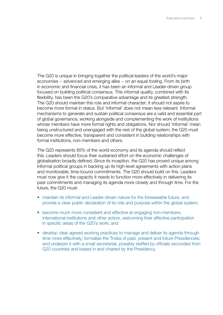The G20 is unique in bringing together the political leaders of the world's major economies – advanced and emerging alike – on an equal footing. From its birth in economic and financial crisis, it has been an informal and Leader-driven group focused on building political consensus. This informal quality, combined with its flexibility, has been the G20's comparative advantage and its greatest strength. The G20 should maintain this role and informal character; it should not aspire to become more formal in status. But 'informal' does not mean less relevant. Informal mechanisms to generate and sustain political consensus are a valid and essential part of global governance, working alongside and complementing the work of institutions whose members have more formal rights and obligations. Nor should 'informal' mean being unstructured and unengaged with the rest of the global system; the G20 must become more effective, transparent and consistent in building relationships with formal institutions, non-members and others.

The G20 represents 85% of the world economy and its agenda should reflect this. Leaders should focus their sustained effort on the economic challenges of globalisation broadly defined. Since its inception, the G20 has proved unique among informal political groups in backing up its high-level agreements with action plans and monitorable, time-bound commitments. The G20 should build on this. Leaders must now give it the capacity it needs to function more effectively in delivering its past commitments and managing its agenda more closely and through time. For the future, the G20 must:

- maintain its informal and Leader-driven nature for the foreseeable future, and provide a clear public declaration of its role and purpose within the global system;
- become much more consistent and effective at engaging non-members, international institutions and other actors, welcoming their effective participation in specific areas of the G20's work; and
- develop clear agreed working practices to manage and deliver its agenda through time more effectively; formalise the Troika of past, present and future Presidencies; and underpin it with a small secretariat, possibly staffed by officials seconded from G20 countries and based in and chaired by the Presidency.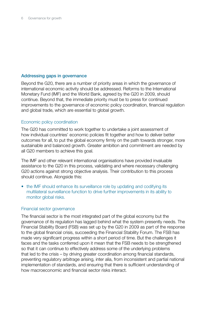### Addressing gaps in governance

Beyond the G20, there are a number of priority areas in which the governance of international economic activity should be addressed. Reforms to the International Monetary Fund (IMF) and the World Bank, agreed by the G20 in 2009, should continue. Beyond that, the immediate priority must be to press for continued improvements to the governance of economic policy coordination, financial regulation and global trade, which are essential to global growth.

### Economic policy coordination

The G20 has committed to work together to undertake a joint assessment of how individual countries' economic policies fit together and how to deliver better outcomes for all, to put the global economy firmly on the path towards stronger, more sustainable and balanced growth. Greater ambition and commitment are needed by all G20 members to achieve this goal.

The IMF and other relevant international organisations have provided invaluable assistance to the G20 in this process, validating and where necessary challenging G20 actions against strong objective analysis. Their contribution to this process should continue. Alongside this:

• the IMF should enhance its surveillance role by updating and codifying its multilateral surveillance function to drive further improvements in its ability to monitor global risks.

#### Financial sector governance

The financial sector is the most integrated part of the global economy but the governance of its regulation has lagged behind what the system presently needs. The Financial Stability Board (FSB) was set up by the G20 in 2009 as part of the response to the global financial crisis, succeeding the Financial Stability Forum. The FSB has made very significant progress within a short period of time. But the challenges it faces and the tasks conferred upon it mean that the FSB needs to be strengthened so that it can continue to effectively address some of the underlying problems that led to the crisis – by driving greater coordination among financial standards, preventing regulatory arbitrage arising, inter alia, from inconsistent and partial national implementation of standards, and ensuring that there is sufficient understanding of how macroeconomic and financial sector risks interact.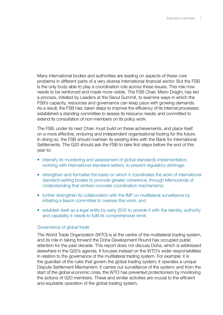Many international bodies and authorities are leading on aspects of these core problems in different parts of a very diverse international financial sector. But the FSB is the only body able to play a coordination role across these issues. This role now needs to be reinforced and made more visible. The FSB Chair, Mario Draghi, has led a process, initiated by Leaders at the Seoul Summit, to examine ways in which the FSB's capacity, resources and governance can keep pace with growing demands. As a result, the FSB has: taken steps to improve the efficiency of its internal processes; established a standing committee to assess its resource needs; and committed to extend its consultation of non-members on its policy work.

The FSB, under its next Chair, must build on these achievements, and place itself on a more effective, enduring and independent organisational footing for the future. In doing so, the FSB should maintain its existing links with the Bank for International Settlements. The G20 should ask the FSB to take first steps before the end of this year to:

- intensify its monitoring and assessment of global standards implementation, working with international standard-setters, to prevent regulatory arbitrage;
- strengthen and formalise the basis on which it coordinates the work of international standard-setting bodies to promote greater coherence, through Memoranda of Understanding that embed concrete coordination mechanisms;
- further strengthen its collaboration with the IMF on multilateral surveillance by initiating a liaison committee to oversee this work; and
- establish itself as a legal entity by early 2012 to provide it with the identity, authority and capability it needs to fulfil its comprehensive remit.

#### Governance of global trade

The World Trade Organization (WTO) is at the centre of the multilateral trading system, and its role in taking forward the Doha Development Round has occupied public attention for the past decade. This report does not discuss Doha, which is addressed elsewhere in the G20's agenda. It focuses instead on the WTO's wider responsibilities in relation to the governance of the multilateral trading system. For example: it is the guardian of the rules that govern the global trading system; it operates a unique Dispute Settlement Mechanism; it carries out surveillance of the system; and from the start of the global economic crisis, the WTO has prevented protectionism by monitoring the actions of G20 members. These and similar activities are crucial to the efficient and equitable operation of the global trading system.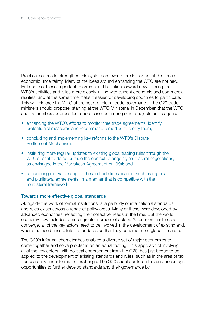Practical actions to strengthen this system are even more important at this time of economic uncertainty. Many of the ideas around enhancing the WTO are not new. But some of these important reforms could be taken forward now to bring the WTO's activities and rules more closely in line with current economic and commercial realities, and at the same time make it easier for developing countries to participate. This will reinforce the WTO at the heart of global trade governance. The G20 trade ministers should propose, starting at the WTO Ministerial in December, that the WTO and its members address four specific issues among other subjects on its agenda:

- enhancing the WTO's efforts to monitor free trade agreements, identify protectionist measures and recommend remedies to rectify them;
- concluding and implementing key reforms to the WTO's Dispute Settlement Mechanism;
- instituting more regular updates to existing global trading rules through the WTO's remit to do so outside the context of ongoing multilateral negotiations, as envisaged in the Marrakesh Agreement of 1994; and
- considering innovative approaches to trade liberalisation, such as regional and plurilateral agreements, in a manner that is compatible with the multilateral framework.

#### Towards more effective global standards

Alongside the work of formal institutions, a large body of international standards and rules exists across a range of policy areas. Many of these were developed by advanced economies, reflecting their collective needs at the time. But the world economy now includes a much greater number of actors. As economic interests converge, all of the key actors need to be involved in the development of existing and, where the need arises, future standards so that they become more global in nature.

The G20's informal character has enabled a diverse set of major economies to come together and solve problems on an equal footing. This approach of involving all of the key actors, with political endorsement from the G20, has just begun to be applied to the development of existing standards and rules, such as in the area of tax transparency and information exchange. The G20 should build on this and encourage opportunities to further develop standards and their governance by: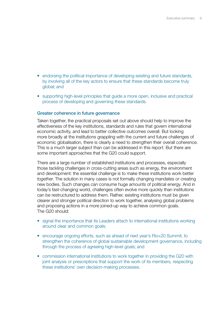- endorsing the political importance of developing existing and future standards, by involving all of the key actors to ensure that these standards become truly global; and
- supporting high-level principles that guide a more open, inclusive and practical process of developing and governing these standards.

#### Greater coherence in future governance

Taken together, the practical proposals set out above should help to improve the effectiveness of the key institutions, standards and rules that govern international economic activity, and lead to better collective outcomes overall. But looking more broadly at the institutions grappling with the current and future challenges of economic globalisation, there is clearly a need to strengthen their overall coherence. This is a much larger subject than can be addressed in this report. But there are some important approaches that the G20 could support.

There are a large number of established institutions and processes, especially those tackling challenges in cross-cutting areas such as energy, the environment and development: the essential challenge is to make these institutions work better *together*. The solution in many cases is not formally changing mandates or creating new bodies. Such changes can consume huge amounts of political energy. And in today's fast-changing world, challenges often evolve more quickly than institutions can be restructured to address them. Rather, existing institutions must be given clearer and stronger political direction to work together, analysing global problems and proposing actions in a more joined-up way to achieve common goals. The G20 should:

- signal the importance that its Leaders attach to international institutions working around clear and common goals;
- encourage ongoing efforts, such as ahead of next year's Rio+20 Summit, to strengthen the coherence of global sustainable development governance, including through the process of agreeing high-level goals; and
- commission international institutions to work together in providing the G20 with joint analysis or prescriptions that support the work of its members, respecting these institutions' own decision-making processes.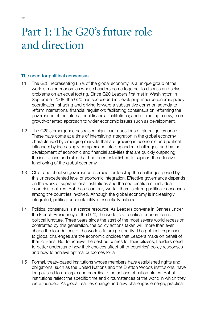# Part 1: The G20's future role and direction

### The need for political consensus

- 1.1 The G20, representing 85% of the global economy, is a unique group of the world's major economies whose Leaders come together to discuss and solve problems on an equal footing. Since G20 Leaders first met in Washington in September 2008, the G20 has succeeded in developing macroeconomic policy coordination; shaping and driving forward a substantive common agenda to reform international financial regulation; facilitating consensus on reforming the governance of the international financial institutions; and promoting a new, more growth-oriented approach to wider economic issues such as development.
- 1.2 The G20's emergence has raised significant questions of global governance. These have come at a time of intensifying integration in the global economy, characterised by emerging markets that are growing in economic and political influence; by increasingly complex and interdependent challenges; and by the development of economic and financial activities that are quickly outpacing the institutions and rules that had been established to support the effective functioning of the global economy.
- 1.3 Clear and effective governance is crucial for tackling the challenges posed by this unprecedented level of economic integration. Effective governance depends on the work of supranational institutions and the coordination of individual countries' policies. But these can only work if there is strong political consensus among the countries involved. Although the global economy is increasingly integrated, political accountability is essentially national.
- 1.4 Political consensus is a scarce resource. As Leaders convene in Cannes under the French Presidency of the G20, the world is at a critical economic and political juncture. Three years since the start of the most severe world recession confronted by this generation, the policy actions taken will, more than ever, shape the foundations of the world's future prosperity. The political responses to global challenges are the economic choices that Leaders make on behalf of their citizens. But to achieve the best outcomes for their citizens, Leaders need to better understand how their choices affect other countries' policy responses and how to achieve optimal outcomes for all.
- 1.5 Formal, treaty-based institutions whose members have established rights and obligations, such as the United Nations and the Bretton Woods institutions, have long existed to underpin and coordinate the actions of nation-states. But all institutions reflect the specific time and circumstances of the world in which they were founded. As global realities change and new challenges emerge, practical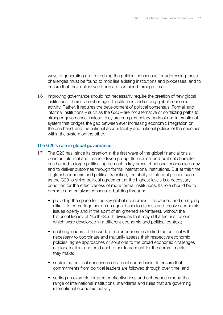ways of generating and refreshing the political consensus for addressing these challenges must be found to mobilise existing institutions and processes, and to ensure that their collective efforts are sustained through time.

1.6 Improving governance should not necessarily require the creation of new global institutions. There is no shortage of institutions addressing global economic activity. Rather, it requires the development of political consensus. Formal, and informal institutions – such as the G20 – are not alternative or conflicting paths to stronger governance; instead, they are complementary parts of one international system that bridges the gap between ever increasing economic integration on the one hand, and the national accountability and national politics of the countries within the system on the other.

#### The G20's role in global governance

- 1.7 The G20 has, since its creation in the first wave of the global financial crisis, been an informal and Leader-driven group. Its informal and political character has helped to forge political agreement in key areas of national economic policy, and to deliver outcomes through formal international institutions. But at this time of global economic and political transition, the ability of informal groups such as the G20 to strike political agreement at the highest levels is a necessary condition for the effectiveness of more formal institutions. Its role should be to promote and catalyse consensus-building through:
	- providing the space for the key global economies advanced and emerging alike − to come together on an equal basis to discuss and resolve economic issues openly and in the spirit of enlightened self-interest, without the historical legacy of North–South divisions that may still affect institutions which were developed in a different economic and political context;
	- enabling leaders of the world's major economies to find the political will necessary to coordinate and mutually assess their respective economic policies, agree approaches or solutions to the broad economic challenges of globalisation, and hold each other to account for the commitments they make;
	- sustaining political consensus on a continuous basis, to ensure that commitments from political leaders are followed through over time; and
	- setting an example for greater effectiveness and coherence among the range of international institutions, standards and rules that are governing international economic activity.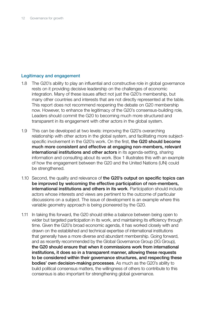# Legitimacy and engagement

- 1.8 The G20's ability to play an influential and constructive role in global governance rests on it providing decisive leadership on the challenges of economic integration. Many of these issues affect not just the G20's membership, but many other countries and interests that are not directly represented at the table. This report does not recommend reopening the debate on G20 membership now. However, to enhance the legitimacy of the G20's consensus-building role, Leaders should commit the G20 to becoming much more structured and transparent in its engagement with other actors in the global system.
- 1.9 This can be developed at two levels: improving the G20's overarching relationship with other actors in the global system, and facilitating more subjectspecific involvement in the G20's work. On the first, the G20 should become much more consistent and effective at engaging non-members, relevant international institutions and other actors in its agenda-setting, sharing information and consulting about its work. Box 1 illustrates this with an example of how the engagement between the G20 and the United Nations (UN) could be strengthened.
- 1.10 Second, the quality and relevance of the G20's output on specific topics can be improved by welcoming the effective participation of non-members, international institutions and others in its work. Participation should include actors whose interests and views are pertinent to the outcome of particular discussions on a subject. The issue of development is an example where this variable geometry approach is being pioneered by the G20.
- 1.11 In taking this forward, the G20 should strike a balance between being open to wider but targeted participation in its work, and maintaining its efficiency through time. Given the G20's broad economic agenda, it has worked closely with and drawn on the established and technical expertise of international institutions that generally have a more diverse and abundant membership. Going forward, and as recently recommended by the Global Governance Group (3G Group), the G20 should ensure that when it commissions work from international institutions, it does so in a transparent manner, allowing these requests to be considered within their governance structures, and respecting these bodies' own decision-making processes. As much as the G20's ability to build political consensus matters, the willingness of others to contribute to this consensus is also important for strengthening global governance.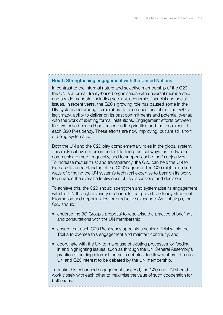#### Box 1: Strengthening engagement with the United Nations

In contrast to the informal nature and selective membership of the G20, the UN is a formal, treaty-based organisation with universal membership and a wide mandate, including security, economic, financial and social issues. In recent years, the G20's growing role has caused some in the UN system and among its members to raise questions about the G20's legitimacy, ability to deliver on its past commitments and potential overlap with the work of existing formal institutions. Engagement efforts between the two have been ad hoc, based on the priorities and the resources of each G20 Presidency. These efforts are now improving, but are still short of being systematic.

Both the UN and the G20 play complementary roles in the global system. This makes it even more important to find practical ways for the two to communicate more frequently, and to support each other's objectives. To increase mutual trust and transparency, the G20 can help the UN to increase its understanding of the G20's agenda. The G20 might also find ways of bringing the UN system's technical expertise to bear on its work, to enhance the overall effectiveness of its discussions and decisions.

To achieve this, the G20 should strengthen and systematise its engagement with the UN through a variety of channels that provide a steady stream of information and opportunities for productive exchange. As first steps, the G20 should:

- endorse the 3G Group's proposal to regularise the practice of briefings and consultations with the UN membership;
- ensure that each G20 Presidency appoints a senior official within the Troika to oversee this engagement and maintain continuity; and
- coordinate with the UN to make use of existing processes for feeding in and highlighting issues, such as through the UN General Assembly's practice of holding informal thematic debates, to allow matters of mutual UN and G20 interest to be debated by the UN membership.

To make this enhanced engagement succeed, the G20 and UN should work closely with each other to maximise the value of such cooperation for both sides.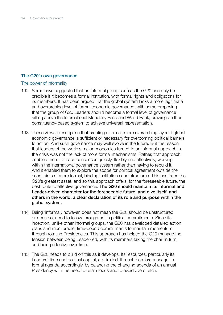# The G20's own governance

#### The power of informality

- 1.12 Some have suggested that an informal group such as the G20 can only be credible if it becomes a formal institution, with formal rights and obligations for its members. It has been argued that the global system lacks a more legitimate and overarching level of formal economic governance, with some proposing that the group of G20 Leaders should become a formal level of governance sitting above the International Monetary Fund and World Bank, drawing on their constituency-based system to achieve universal representation.
- 1.13 These views presuppose that creating a formal, more overarching layer of global economic governance is sufficient or necessary for overcoming political barriers to action. And such governance may well evolve in the future. But the reason that leaders of the world's major economies turned to an informal approach in the crisis was not the lack of more formal mechanisms. Rather, that approach enabled them to reach consensus quickly, flexibly and effectively, working within the international governance system rather than having to rebuild it. And it enabled them to explore the scope for political agreement outside the constraints of more formal, binding institutions and structures. This has been the G20's greatest asset, and so this approach offers, for the foreseeable future, the best route to effective governance. The G20 should maintain its informal and Leader-driven character for the foreseeable future, and give itself, and others in the world, a clear declaration of its role and purpose within the global system.
- 1.14 Being 'informal', however, does not mean the G20 should be unstructured or does not need to follow through on its political commitments. Since its inception, unlike other informal groups, the G20 has developed detailed action plans and monitorable, time-bound commitments to maintain momentum through rotating Presidencies. This approach has helped the G20 manage the tension between being Leader-led, with its members taking the chair in turn, and being effective over time.
- 1.15 The G20 needs to build on this as it develops. Its resources, particularly its Leaders' time and political capital, are limited. It must therefore manage its formal agenda accordingly, by balancing the changing agenda of an annual Presidency with the need to retain focus and to avoid overstretch.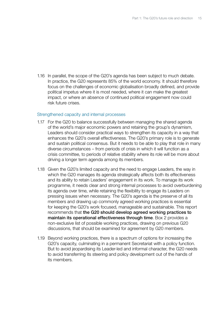1.16 In parallel, the scope of the G20's agenda has been subject to much debate. In practice, the G20 represents 85% of the world economy. It should therefore focus on the challenges of economic globalisation broadly defined, and provide political impetus where it is most needed, where it can make the greatest impact, or where an absence of continued political engagement now could risk future crises.

#### Strengthened capacity and internal processes

- 1.17 For the G20 to balance successfully between managing the shared agenda of the world's major economic powers and retaining the group's dynamism, Leaders should consider practical ways to strengthen its capacity in a way that enhances the G20's overall effectiveness. The G20's primary role is to generate and sustain political consensus. But it needs to be able to play that role in many diverse circumstances – from periods of crisis in which it will function as a crisis committee, to periods of relative stability where its role will be more about driving a longer term agenda among its members.
- 1.18 Given the G20's limited capacity and the need to engage Leaders, the way in which the G20 manages its agenda strategically affects both its effectiveness and its ability to retain Leaders' engagement in its work. To manage its work programme, it needs clear and strong internal processes to avoid overburdening its agenda over time, while retaining the flexibility to engage its Leaders on pressing issues when necessary. The G20's agenda is the preserve of all its members and drawing up commonly agreed working practices is essential for keeping the G20's work focused, manageable and sustainable. This report recommends that the G20 should develop agreed working practices to maintain its operational effectiveness through time. Box 2 provides a non-exclusive list of possible working practices, drawing on previous G20 discussions, that should be examined for agreement by G20 members.
- 1.19 Beyond working practices, there is a spectrum of options for increasing the G20's capacity, culminating in a permanent Secretariat with a policy function. But to avoid jeopardising its Leader-led and informal character, the G20 needs to avoid transferring its steering and policy development out of the hands of its members.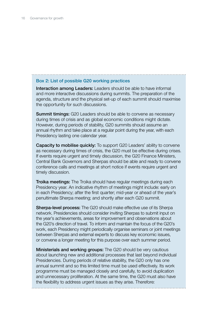# Box 2: List of possible G20 working practices

Interaction among Leaders: Leaders should be able to have informal and more interactive discussions during summits. The preparation of the agenda, structure and the physical set-up of each summit should maximise the opportunity for such discussions.

**Summit timings:** G20 Leaders should be able to convene as necessary during times of crisis and as global economic conditions might dictate. However, during periods of stability, G20 summits should assume an annual rhythm and take place at a regular point during the year, with each Presidency lasting one calendar year.

Capacity to mobilise quickly: To support G20 Leaders' ability to convene as necessary during times of crisis, the G20 must be effective during crises. If events require urgent and timely discussion, the G20 Finance Ministers, Central Bank Governors and Sherpas should be able and ready to convene conference calls and meetings at short notice if events require urgent and timely discussion.

Troika meetings: The Troika should have regular meetings during each Presidency year. An indicative rhythm of meetings might include: early on in each Presidency; after the first quarter; mid-year or ahead of the year's penultimate Sherpa meeting; and shortly after each G20 summit.

**Sherpa-level process:** The G20 should make effective use of its Sherpa network. Presidencies should consider inviting Sherpas to submit input on the year's achievements, areas for improvement and observations about the G20's direction of travel. To inform and maintain the focus of the G20's work, each Presidency might periodically organise seminars or joint meetings between Sherpas and external experts to discuss key economic issues, or convene a longer meeting for this purpose over each summer period.

**Ministerials and working groups:** The G20 should be very cautious about launching new and additional processes that last beyond individual Presidencies. During periods of relative stability, the G20 only has one annual summit and so this limited time must be used effectively. Its work programme must be managed closely and carefully, to avoid duplication and unnecessary proliferation. At the same time, the G20 must also have the flexibility to address urgent issues as they arise. Therefore: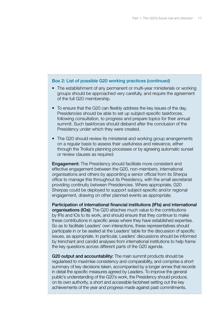#### Box 2: List of possible G20 working practices (continued)

- The establishment of any permanent or multi-year ministerials or working groups should be approached very carefully, and require the agreement of the full G20 membership.
- To ensure that the G20 can flexibly address the key issues of the day, Presidencies should be able to set up subject-specific taskforces, following consultation, to progress and prepare topics for their annual summit. Such taskforces should disband after the conclusion of the Presidency under which they were created.
- The G20 should review its ministerial and working group arrangements on a regular basis to assess their usefulness and relevance, either through the Troika's planning processes or by agreeing automatic sunset or review clauses as required.

**Engagement:** The Presidency should facilitate more consistent and effective engagement between the G20, non-members, international organisations and others by appointing a senior official from its Sherpa office to manage this throughout its Presidency, with the small secretariat providing continuity between Presidencies. Where appropriate, G20 Sherpas could be deployed to support subject-specific and/or regional engagement, drawing on other planned events as appropriate.

Participation of international financial institutions (IFIs) and international **organisations (IOs):** The G20 attaches much value to the contributions by IFIs and IOs to its work, and should ensure that they continue to make these contributions in specific areas where they have established expertise. So as to facilitate Leaders' own interactions, these representatives should participate in or be seated at the Leaders' table for the discussion of specific issues, as appropriate. In particular, Leaders' discussions should be informed by trenchant and candid analyses from international institutions to help frame the key questions across different parts of the G20 agenda.

G20 output and accountability: The main summit products should be regularised to maximise consistency and comparability, and comprise a short summary of key decisions taken, accompanied by a longer annex that records in detail the specific measures agreed by Leaders. To improve the general public's understanding of the G20's work, the Presidency should produce, on its own authority, a short and accessible factsheet setting out the key achievements of the year and progress made against past commitments.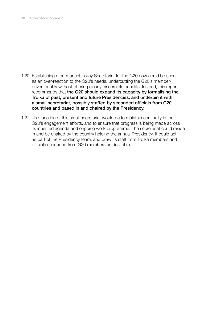- 1.20 Establishing a permanent policy Secretariat for the G20 now could be seen as an over-reaction to the G20's needs, undercutting the G20's memberdriven quality without offering clearly discernible benefits. Instead, this report recommends that the G20 should expand its capacity by formalising the Troika of past, present and future Presidencies; and underpin it with a small secretariat, possibly staffed by seconded officials from G20 countries and based in and chaired by the Presidency.
- 1.21 The function of this small secretariat would be to maintain continuity in the G20's engagement efforts, and to ensure that progress is being made across its inherited agenda and ongoing work programme. The secretariat could reside in and be chaired by the country holding the annual Presidency. It could act as part of the Presidency team, and draw its staff from Troika members and officials seconded from G20 members as desirable.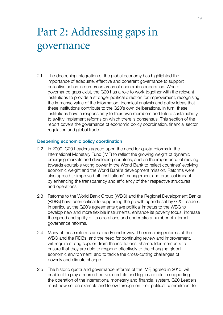# Part 2: Addressing gaps in governance

2.1 The deepening integration of the global economy has highlighted the importance of adequate, effective and coherent governance to support collective action in numerous areas of economic cooperation. Where governance gaps exist, the G20 has a role to work together with the relevant institutions to provide a stronger political direction for improvement, recognising the immense value of the information, technical analysis and policy ideas that these institutions contribute to the G20's own deliberations. In turn, these institutions have a responsibility to their own members and future sustainability to swiftly implement reforms on which there is consensus. This section of the report covers the governance of economic policy coordination, financial sector regulation and global trade.

#### Deepening economic policy coordination

- 2.2 In 2009, G20 Leaders agreed upon the need for quota reforms in the International Monetary Fund (IMF) to reflect the growing weight of dynamic emerging markets and developing countries, and on the importance of moving towards equitable voting power in the World Bank to reflect countries' evolving economic weight and the World Bank's development mission. Reforms were also agreed to improve both institutions' management and practical impact by enhancing the transparency and efficiency of their respective structures and operations.
- 2.3 Reforms to the World Bank Group (WBG) and the Regional Development Banks (RDBs) have been critical to supporting the growth agenda set by G20 Leaders. In particular, the G20's agreements gave political impetus to the WBG to develop new and more flexible instruments, enhance its poverty focus, increase the speed and agility of its operations and undertake a number of internal governance reforms.
- 2.4 Many of these reforms are already under way. The remaining reforms at the WBG and the RDBs, and the need for continuing review and improvement, will require strong support from the institutions' shareholder members to ensure that they are able to respond effectively to the changing global economic environment, and to tackle the cross-cutting challenges of poverty and climate change.
- 2.5 The historic quota and governance reforms of the IMF, agreed in 2010, will enable it to play a more effective, credible and legitimate role in supporting the operation of the international monetary and financial system. G20 Leaders must now set an example and follow through on their political commitment to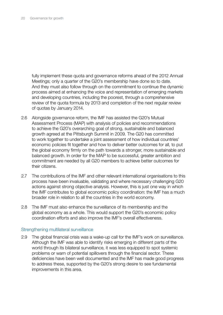fully implement these quota and governance reforms ahead of the 2012 Annual Meetings; only a quarter of the G20's membership have done so to date. And they must also follow through on the commitment to continue the dynamic process aimed at enhancing the voice and representation of emerging markets and developing countries, including the poorest, through a comprehensive review of the quota formula by 2013 and completion of the next regular review of quotas by January 2014.

- 2.6 Alongside governance reform, the IMF has assisted the G20's Mutual Assessment Process (MAP) with analysis of policies and recommendations to achieve the G20's overarching goal of strong, sustainable and balanced growth agreed at the Pittsburgh Summit in 2009. The G20 has committed to work together to undertake a joint assessment of how individual countries' economic policies fit together and how to deliver better outcomes for all, to put the global economy firmly on the path towards a stronger, more sustainable and balanced growth. In order for the MAP to be successful, greater ambition and commitment are needed by all G20 members to achieve better outcomes for their citizens.
- 2.7 The contributions of the IMF and other relevant international organisations to this process have been invaluable, validating and where necessary challenging G20 actions against strong objective analysis. However, this is just one way in which the IMF contributes to global economic policy coordination: the IMF has a much broader role in relation to all the countries in the world economy.
- 2.8 The IMF must also enhance the surveillance of its membership and the global economy as a whole. This would support the G20's economic policy coordination efforts and also improve the IMF's overall effectiveness.

#### Strengthening multilateral surveillance

2.9 The global financial crisis was a wake-up call for the IMF's work on surveillance. Although the IMF was able to identify risks emerging in different parts of the world through its bilateral surveillance, it was less equipped to spot systemic problems or warn of potential spillovers through the financial sector. These deficiencies have been well documented and the IMF has made good progress to address these, supported by the G20's strong desire to see fundamental improvements in this area.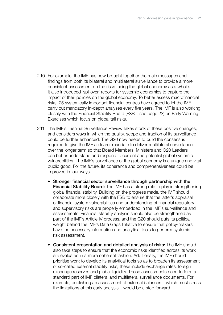- 2.10 For example, the IMF has now brought together the main messages and findings from both its bilateral and multilateral surveillance to provide a more consistent assessment on the risks facing the global economy as a whole. It also introduced 'spillover' reports for systemic economies to capture the impact of their policies on the global economy. To better assess macrofinancial risks, 25 systemically important financial centres have agreed to let the IMF carry out mandatory in-depth analyses every five years. The IMF is also working closely with the Financial Stability Board (FSB – see page 23) on Early Warning Exercises which focus on global tail risks.
- 2.11 The IMF's Triennial Surveillance Review takes stock of these positive changes, and considers ways in which the quality, scope and traction of its surveillance could be further enhanced. The G20 now needs to build the consensus required to give the IMF a clearer mandate to deliver multilateral surveillance over the longer term so that Board Members, Ministers and G20 Leaders can better understand and respond to current and potential global systemic vulnerabilities. The IMF's surveillance of the global economy is a unique and vital public good. For the future, its coherence and comprehensiveness could be improved in four ways:
	- Stronger financial sector surveillance through partnership with the Financial Stability Board: The IMF has a strong role to play in strengthening global financial stability. Building on the progress made, the IMF should collaborate more closely with the FSB to ensure that the latter's appraisal of financial system vulnerabilities and understanding of financial regulatory and supervisory risks are properly embedded in the IMF's surveillance and assessments. Financial stability analysis should also be strengthened as part of the IMF's Article IV process, and the G20 should puts its political weight behind the IMF's Data Gaps Initiative to ensure that policy-makers have the necessary information and analytical tools to perform systemic risk assessment.
	- Consistent presentation and detailed analysis of risks: The IMF should also take steps to ensure that the economic risks identified across its work are evaluated in a more coherent fashion. Additionally, the IMF should prioritise work to develop its analytical tools so as to broaden its assessment of so-called external stability risks; these include exchange rates, foreign exchange reserves and global liquidity. Those assessments need to form a standard part of IMF bilateral and multilateral surveillance documents. For example, publishing an assessment of external balances – which must stress the limitations of this early analysis – would be a step forward.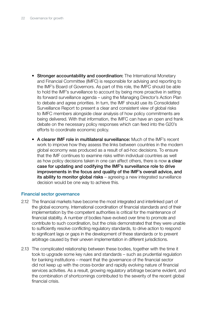- Stronger accountability and coordination: The International Monetary and Financial Committee (IMFC) is responsible for advising and reporting to the IMF's Board of Governors. As part of this role, the IMFC should be able to hold the IMF's surveillance to account by being more proactive in setting its forward surveillance agenda – using the Managing Director's Action Plan to debate and agree priorities. In turn, the IMF should use its Consolidated Surveillance Report to present a clear and consistent view of global risks to IMFC members alongside clear analysis of how policy commitments are being delivered. With that information, the IMFC can have an open and frank debate on the necessary policy responses which can feed into the G20's efforts to coordinate economic policy.
- A clearer IMF role in multilateral surveillance: Much of the IMF's recent work to improve how they assess the links between countries in the modern global economy was produced as a result of ad-hoc decisions. To ensure that the IMF continues to examine risks within individual countries as well as how policy decisions taken in one can affect others, there is now a clear case for updating and codifying the IMF's surveillance role to drive improvements in the focus and quality of the IMF's overall advice, and its ability to monitor global risks – agreeing a new integrated surveillance decision would be one way to achieve this.

# Financial sector governance

- 2.12 The financial markets have become the most integrated and interlinked part of the global economy. International coordination of financial standards and of their implementation by the competent authorities is critical for the maintenance of financial stability. A number of bodies have evolved over time to promote and contribute to such coordination, but the crisis demonstrated that they were unable to sufficiently resolve conflicting regulatory standards, to drive action to respond to significant lags or gaps in the development of these standards or to prevent arbitrage caused by their uneven implementation in different jurisdictions.
- 2.13 The complicated relationship between these bodies, together with the time it took to upgrade some key rules and standards – such as prudential regulation for banking institutions – meant that the governance of the financial sector did not keep up with the cross-border and rapidly evolving nature of financial services activities. As a result, growing regulatory arbitrage became evident, and the combination of shortcomings contributed to the severity of the recent global financial crisis.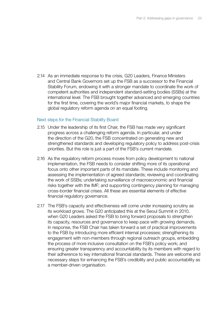2.14 As an immediate response to the crisis, G20 Leaders, Finance Ministers and Central Bank Governors set up the FSB as a successor to the Financial Stability Forum, endowing it with a stronger mandate to coordinate the work of competent authorities and independent standard-setting bodies (SSBs) at the international level. The FSB brought together advanced and emerging countries for the first time, covering the world's major financial markets, to shape the global regulatory reform agenda on an equal footing.

#### Next steps for the Financial Stability Board

- 2.15 Under the leadership of its first Chair, the FSB has made very significant progress across a challenging reform agenda. In particular, and under the direction of the G20, the FSB concentrated on generating new and strengthened standards and developing regulatory policy to address post-crisis priorities. But this role is just a part of the FSB's current mandate.
- 2.16 As the regulatory reform process moves from policy development to national implementation, the FSB needs to consider shifting more of its operational focus onto other important parts of its mandate. These include monitoring and assessing the implementation of agreed standards; reviewing and coordinating the work of SSBs; undertaking surveillance of macroeconomic and financial risks together with the IMF; and supporting contingency planning for managing cross-border financial crises. All these are essential elements of effective financial regulatory governance.
- 2.17 The FSB's capacity and effectiveness will come under increasing scrutiny as its workload grows. The G20 anticipated this at the Seoul Summit in 2010, when G20 Leaders asked the FSB to bring forward proposals to strengthen its capacity, resources and governance to keep pace with growing demands. In response, the FSB Chair has taken forward a set of practical improvements to the FSB by introducing more efficient internal processes; strengthening its engagement with non-members through regional outreach groups, embedding the process of more inclusive consultation on the FSB's policy work; and ensuring greater transparency and accountability by its members with regard to their adherence to key international financial standards. These are welcome and necessary steps for enhancing the FSB's credibility and public accountability as a member-driven organisation.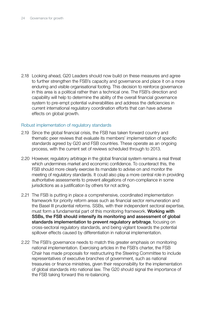2.18 Looking ahead, G20 Leaders should now build on these measures and agree to further strengthen the FSB's capacity and governance and place it on a more enduring and visible organisational footing. This decision to reinforce governance in this area is a political rather than a technical one. The FSB's direction and capability will help to determine the ability of the overall financial governance system to pre-empt potential vulnerabilities and address the deficiencies in current international regulatory coordination efforts that can have adverse effects on global growth.

#### Robust implementation of regulatory standards

- 2.19 Since the global financial crisis, the FSB has taken forward country and thematic peer reviews that evaluate its members' implementation of specific standards agreed by G20 and FSB countries. These operate as an ongoing process, with the current set of reviews scheduled through to 2013.
- 2.20 However, regulatory arbitrage in the global financial system remains a real threat which undermines market and economic confidence. To counteract this, the FSB should more clearly exercise its mandate to advise on and monitor the meeting of regulatory standards. It could also play a more central role in providing authoritative assessments to prevent allegations of non-compliance in some jurisdictions as a justification by others for not acting.
- 2.21 The FSB is putting in place a comprehensive, coordinated implementation framework for priority reform areas such as financial sector remuneration and the Basel III prudential reforms. SSBs, with their independent sectoral expertise, must form a fundamental part of this monitoring framework. Working with SSBs, the FSB should intensify its monitoring and assessment of global standards implementation to prevent regulatory arbitrage, focusing on cross-sectoral regulatory standards, and being vigilant towards the potential spillover effects caused by differentiation in national implementation.
- 2.22 The FSB's governance needs to match this greater emphasis on monitoring national implementation. Exercising articles in the FSB's charter, the FSB Chair has made proposals for restructuring the Steering Committee to include representatives of executive branches of government, such as national treasuries or finance ministries, given their responsibility for the implementation of global standards into national law. The G20 should signal the importance of the FSB taking forward this re-balancing.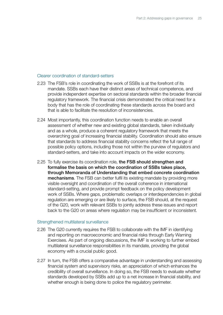#### Clearer coordination of standard-setters

- 2.23 The FSB's role in coordinating the work of SSBs is at the forefront of its mandate. SSBs each have their distinct areas of technical competence, and provide independent expertise on sectoral standards within the broader financial regulatory framework. The financial crisis demonstrated the critical need for a body that has the role of coordinating these standards across the board and that is able to facilitate the resolution of inconsistencies.
- 2.24 Most importantly, this coordination function needs to enable an overall assessment of whether new and existing global standards, taken individually and as a whole, produce a coherent regulatory framework that meets the overarching goal of increasing financial stability. Coordination should also ensure that standards to address financial stability concerns reflect the full range of possible policy options, including those not within the purview of regulators and standard-setters, and take into account impacts on the wider economy.
- 2.25 To fully exercise its coordination role, the FSB should strengthen and formalise the basis on which the coordination of SSBs takes place, through Memoranda of Understanding that embed concrete coordination mechanisms. The FSB can better fulfil its existing mandate by providing more visible oversight and coordination of the overall coherence in international standard-setting, and provide prompt feedback on the policy development work of SSBs. Where gaps, problematic overlaps or interdependencies in global regulation are emerging or are likely to surface, the FSB should, at the request of the G20, work with relevant SSBs to jointly address these issues and report back to the G20 on areas where regulation may be insufficient or inconsistent.

#### Strengthened multilateral surveillance

- 2.26 The G20 currently requires the FSB to collaborate with the IMF in identifying and reporting on macroeconomic and financial risks through Early Warning Exercises. As part of ongoing discussions, the IMF is working to further embed multilateral surveillance responsibilities in its mandate, providing the global economy with a crucial public good.
- 2.27 In turn, the FSB offers a comparative advantage in understanding and assessing financial system and supervisory risks, an appreciation of which enhances the credibility of overall surveillance. In doing so, the FSB needs to evaluate whether standards developed by SSBs add up to a net increase in financial stability, and whether enough is being done to police the regulatory perimeter.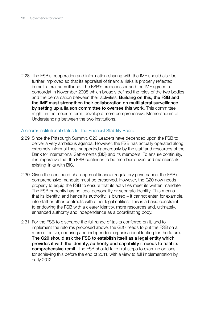2.28 The FSB's cooperation and information-sharing with the IMF should also be further improved so that its appraisal of financial risks is properly reflected in multilateral surveillance. The FSB's predecessor and the IMF agreed a concordat in November 2008 which broadly defined the roles of the two bodies and the demarcation between their activities. **Building on this, the FSB and** the IMF must strengthen their collaboration on multilateral surveillance by setting up a liaison committee to oversee this work. This committee might, in the medium term, develop a more comprehensive Memorandum of Understanding between the two institutions.

### A clearer institutional status for the Financial Stability Board

- 2.29 Since the Pittsburgh Summit, G20 Leaders have depended upon the FSB to deliver a very ambitious agenda. However, the FSB has actually operated along extremely informal lines, supported generously by the staff and resources of the Bank for International Settlements (BIS) and its members. To ensure continuity, it is imperative that the FSB continues to be member-driven and maintains its existing links with BIS.
- 2.30 Given the continued challenges of financial regulatory governance, the FSB's comprehensive mandate must be preserved. However, the G20 now needs properly to equip the FSB to ensure that its activities meet its written mandate. The FSB currently has no legal personality or separate identity. This means that its identity, and hence its authority, is blurred – it cannot enter, for example, into staff or other contracts with other legal entities. This is a basic constraint to endowing the FSB with a clearer identity, more resources and, ultimately, enhanced authority and independence as a coordinating body.
- 2.31 For the FSB to discharge the full range of tasks conferred on it, and to implement the reforms proposed above, the G20 needs to put the FSB on a more effective, enduring and independent organisational footing for the future. The G20 should ask the FSB to establish itself as a legal entity which provides it with the identity, authority and capability it needs to fulfil its comprehensive remit. The FSB should take first steps to examine options for achieving this before the end of 2011, with a view to full implementation by early 2012.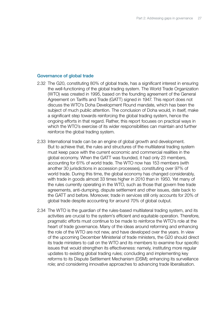#### Governance of global trade

- 2.32 The G20, constituting 80% of global trade, has a significant interest in ensuring the well-functioning of the global trading system. The World Trade Organization (WTO) was created in 1995, based on the founding agreement of the General Agreement on Tariffs and Trade (GATT) signed in 1947. This report does not discuss the WTO's Doha Development Round mandate, which has been the subject of much public attention. The conclusion of Doha would, in itself, make a significant step towards reinforcing the global trading system, hence the ongoing efforts in that regard. Rather, this report focuses on practical ways in which the WTO's exercise of its wider responsibilities can maintain and further reinforce the global trading system.
- 2.33 International trade can be an engine of global growth and development. But to achieve that, the rules and structures of the multilateral trading system must keep pace with the current economic and commercial realities in the global economy. When the GATT was founded, it had only 23 members, accounting for 61% of world trade. The WTO now has 153 members (with another 30 jurisdictions in accession processes), constituting over 97% of world trade. During this time, the global economy has changed considerably, with trade in goods almost 33 times higher in 2010 than in 1950. Yet many of the rules currently operating in the WTO, such as those that govern free trade agreements, anti-dumping, dispute settlement and other issues, date back to the GATT and before. Moreover, trade in services still only accounts for 20% of global trade despite accounting for around 70% of global output.
- 2.34 The WTO is the guardian of the rules-based multilateral trading system, and its activities are crucial to the system's efficient and equitable operation. Therefore, pragmatic efforts must continue to be made to reinforce the WTO's role at the heart of trade governance. Many of the ideas around reforming and enhancing the role of the WTO are not new, and have developed over the years. In view of the upcoming December Ministerial of trade ministers, the G20 should direct its trade ministers to call on the WTO and its members to examine four specific issues that would strengthen its effectiveness: namely, instituting more regular updates to existing global trading rules; concluding and implementing key reforms to its Dispute Settlement Mechanism (DSM); enhancing its surveillance role; and considering innovative approaches to advancing trade liberalisation.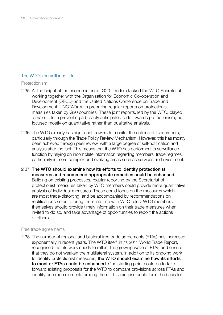# The WTO's surveillance role

### Protectionism

- 2.35 At the height of the economic crisis, G20 Leaders tasked the WTO Secretariat, working together with the Organisation for Economic Co-operation and Development (OECD) and the United Nations Conference on Trade and Development (UNCTAD), with preparing regular reports on protectionist measures taken by G20 countries. These joint reports, led by the WTO, played a major role in preventing a broadly anticipated slide towards protectionism, but focused mostly on quantitative rather than qualitative analysis.
- 2.36 The WTO already has significant powers to monitor the actions of its members, particularly through the Trade Policy Review Mechanism. However, this has mostly been achieved through peer review, with a large degree of self-notification and analysis after the fact. This means that the WTO has performed its surveillance function by relying on incomplete information regarding members' trade regimes, particularly in more complex and evolving areas such as services and investment.
- 2.37 The WTO should examine how its efforts to identify protectionist measures and recommend appropriate remedies could be enhanced. Building on existing processes, regular reporting by the Secretariat of protectionist measures taken by WTO members could provide more quantitative analysis of individual measures. These could focus on the measures which are most trade-distorting, and be accompanied by recommendations on rectifications so as to bring them into line with WTO rules. WTO members themselves should provide timely information on their trade measures when invited to do so, and take advantage of opportunities to report the actions of others.

# Free trade agreements

2.38 The number of regional and bilateral free trade agreements (FTAs) has increased exponentially in recent years. The WTO itself, in its 2011 World Trade Report, recognised that its work needs to reflect the growing wave of FTAs and ensure that they do not weaken the multilateral system. In addition to its ongoing work to identify protectionist measures, the WTO should examine how its efforts to monitor FTAs could be enhanced. One starting point could be to take forward existing proposals for the WTO to compare provisions across FTAs and identify common elements among them. This exercise could form the basis for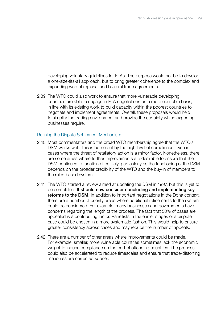developing voluntary guidelines for FTAs. The purpose would not be to develop a one-size-fits-all approach, but to bring greater coherence to the complex and expanding web of regional and bilateral trade agreements.

2.39 The WTO could also work to ensure that more vulnerable developing countries are able to engage in FTA negotiations on a more equitable basis, in line with its existing work to build capacity within the poorest countries to negotiate and implement agreements. Overall, these proposals would help to simplify the trading environment and provide the certainty which exporting businesses require.

#### Refining the Dispute Settlement Mechanism

- 2.40 Most commentators and the broad WTO membership agree that the WTO's DSM works well. This is borne out by the high level of compliance, even in cases where the threat of retaliatory action is a minor factor. Nonetheless, there are some areas where further improvements are desirable to ensure that the DSM continues to function effectively, particularly as the functioning of the DSM depends on the broader credibility of the WTO and the buy-in of members to the rules-based system.
- 2.41 The WTO started a review aimed at updating the DSM in 1997, but this is yet to be completed. It should now consider concluding and implementing key reforms to the DSM. In addition to important negotiations in the Doha context, there are a number of priority areas where additional refinements to the system could be considered. For example, many businesses and governments have concerns regarding the length of the process. The fact that 50% of cases are appealed is a contributing factor. Panellists in the earlier stages of a dispute case could be chosen in a more systematic fashion. This would help to ensure greater consistency across cases and may reduce the number of appeals.
- 2.42 There are a number of other areas where improvements could be made. For example, smaller, more vulnerable countries sometimes lack the economic weight to induce compliance on the part of offending countries. The process could also be accelerated to reduce timescales and ensure that trade-distorting measures are corrected sooner.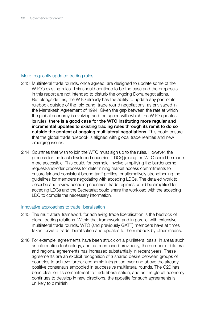### More frequently updated trading rules

- 2.43 Multilateral trade rounds, once agreed, are designed to update some of the WTO's existing rules. This should continue to be the case and the proposals in this report are not intended to disturb the ongoing Doha negotiations. But alongside this, the WTO already has the ability to update any part of its rulebook outside of the 'big bang' trade round negotiations, as envisaged in the Marrakesh Agreement of 1994. Given the gap between the rate at which the global economy is evolving and the speed with which the WTO updates its rules, there is a good case for the WTO instituting more regular and incremental updates to existing trading rules through its remit to do so outside the context of ongoing multilateral negotiations. This could ensure that the global trade rulebook is aligned with global trade realities and new emerging issues.
- 2.44 Countries that wish to join the WTO must sign up to the rules. However, the process for the least developed countries (LDCs) joining the WTO could be made more accessible. This could, for example, involve simplifying the burdensome request-and-offer process for determining market access commitments to ensure fair and consistent bound tariff profiles, or alternatively strengthening the guidelines for members negotiating with acceding LDCs. The detailed work to describe and review acceding countries' trade regimes could be simplified for acceding LDCs and the Secretariat could share the workload with the acceding LDC to compile the necessary information.

#### Innovative approaches to trade liberalisation

- 2.45 The multilateral framework for achieving trade liberalisation is the bedrock of global trading relations. Within that framework, and in parallel with extensive multilateral trade rounds, WTO (and previously GATT) members have at times taken forward trade liberalisation and updates to the rulebook by other means.
- 2.46 For example, agreements have been struck on a plurilateral basis, in areas such as information technology, and, as mentioned previously, the number of bilateral and regional agreements has increased substantially in recent years. These agreements are an explicit recognition of a shared desire between groups of countries to achieve further economic integration over and above the already positive consensus embodied in successive multilateral rounds. The G20 has been clear on its commitment to trade liberalisation, and as the global economy continues to develop in new directions, the appetite for such agreements is unlikely to diminish.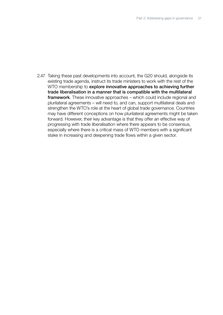2.47 Taking these past developments into account, the G20 should, alongside its existing trade agenda, instruct its trade ministers to work with the rest of the WTO membership to explore innovative approaches to achieving further trade liberalisation in a manner that is compatible with the multilateral framework. These innovative approaches – which could include regional and plurilateral agreements – will need to, and can, support multilateral deals and strengthen the WTO's role at the heart of global trade governance. Countries may have different conceptions on how plurilateral agreements might be taken forward. However, their key advantage is that they offer an effective way of progressing with trade liberalisation where there appears to be consensus, especially where there is a critical mass of WTO members with a significant stake in increasing and deepening trade flows within a given sector.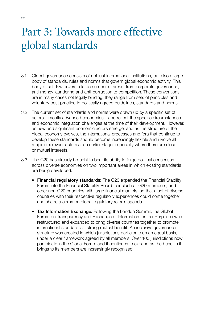# Part 3: Towards more effective global standards

- 3.1 Global governance consists of not just international institutions, but also a large body of standards, rules and norms that govern global economic activity. This body of soft law covers a large number of areas, from corporate governance, anti-money laundering and anti-corruption to competition. These conventions are in many cases not legally binding: they range from sets of principles and voluntary best practice to politically agreed guidelines, standards and norms.
- 3.2 The current set of standards and norms were drawn up by a specific set of actors – mostly advanced economies – and reflect the specific circumstances and economic integration challenges at the time of their development. However, as new and significant economic actors emerge, and as the structure of the global economy evolves, the international processes and fora that continue to develop these standards should become increasingly flexible and involve all major or relevant actors at an earlier stage, especially where there are close or mutual interests.
- 3.3 The G20 has already brought to bear its ability to forge political consensus across diverse economies on two important areas in which existing standards are being developed:
	- Financial regulatory standards: The G20 expanded the Financial Stability Forum into the Financial Stability Board to include all G20 members, and other non-G20 countries with large financial markets, so that a set of diverse countries with their respective regulatory experiences could come together and shape a common global regulatory reform agenda.
	- Tax Information Exchange: Following the London Summit, the Global Forum on Transparency and Exchange of Information for Tax Purposes was restructured and expanded to bring diverse countries together to promote international standards of strong mutual benefit. An inclusive governance structure was created in which jurisdictions participate on an equal basis, under a clear framework agreed by all members. Over 100 jurisdictions now participate in the Global Forum and it continues to expand as the benefits it brings to its members are increasingly recognised.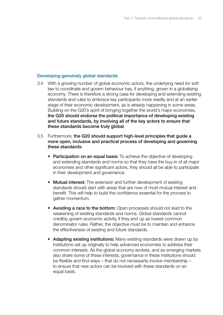### Developing genuinely global standards

- 3.4 With a growing number of global economic actors, the underlying need for soft law to coordinate and govern behaviour has, if anything, grown in a globalising economy. There is therefore a strong case for developing and extending existing standards and rules to embrace key participants more readily and at an earlier stage of their economic development, as is already happening in some areas. Building on the G20's spirit of bringing together the world's major economies, the G20 should endorse the political importance of developing existing and future standards, by involving all of the key actors to ensure that these standards become truly global.
- 3.5 Furthermore, the G20 should support high-level principles that guide a more open, inclusive and practical process of developing and governing these standards:
	- Participation on an equal basis: To achieve the objective of developing and extending standards and norms so that they have the buy-in of all major economies and other significant actors, they should all be able to participate in their development and governance.
	- Mutual interest: The extension and further development of existing standards should start with areas that are now of most mutual interest and benefit. This will help to build the confidence essential for the process to gather momentum.
	- Avoiding a race to the bottom: Open processes should not lead to the weakening of existing standards and norms. Global standards cannot credibly govern economic activity if they end up as lowest common denominator rules. Rather, the objective must be to maintain and enhance the effectiveness of existing and future standards.
	- Adapting existing institutions: Many existing standards were drawn up by institutions set up originally to help advanced economies to address their common interests. As the global economy evolves, and as emerging markets also share some of these interests, governance in these institutions should be flexible and find ways – that do not necessarily involve membership – to ensure that new actors can be involved with these standards on an equal basis.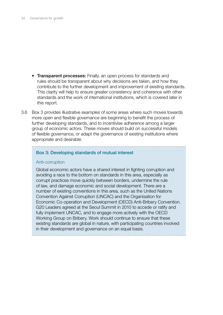- Transparent processes: Finally, an open process for standards and rules should be transparent about why decisions are taken, and how they contribute to the further development and improvement of existing standards. This clarity will help to ensure greater consistency and coherence with other standards and the work of international institutions, which is covered later in this report.
- 3.6 Box 3 provides illustrative examples of some areas where such moves towards more open and flexible governance are beginning to benefit the process of further developing standards, and to incentivise adherence among a larger group of economic actors. These moves should build on successful models of flexible governance, or adapt the governance of existing institutions where appropriate and desirable.

...................................

#### Box 3: Developing standards of mutual interest

#### Anti-corruption

Global economic actors have a shared interest in fighting corruption and avoiding a race to the bottom on standards in this area, especially as corrupt practices move quickly between borders, undermine the rule of law, and damage economic and social development. There are a number of existing conventions in this area, such as the United Nations Convention Against Corruption (UNCAC) and the Organisation for Economic Co-operation and Development (OECD) Anti-Bribery Convention. G20 Leaders agreed at the Seoul Summit in 2010 to accede or ratify and fully implement UNCAC, and to engage more actively with the OECD Working Group on Bribery. Work should continue to ensure that these existing standards are global in nature, with participating countries involved in their development and governance on an equal basis.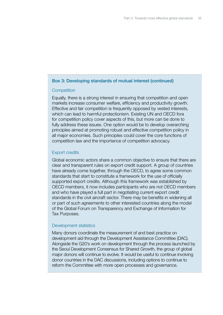#### Box 3: Developing standards of mutual interest (continued)

#### **Competition**

Equally, there is a strong interest in ensuring that competition and open markets increase consumer welfare, efficiency and productivity growth. Effective and fair competition is frequently opposed by vested interests, which can lead to harmful protectionism. Existing UN and OECD fora for competition policy cover aspects of this, but more can be done to fully address these issues. One option would be to develop overarching principles aimed at promoting robust and effective competition policy in all major economies. Such principles could cover the core functions of competition law and the importance of competition advocacy.

#### Export credits

Global economic actors share a common objective to ensure that there are clear and transparent rules on export credit support. A group of countries have already come together, through the OECD, to agree some common standards that start to constitute a framework for the use of officially supported export credits. Although this framework was established by OECD members, it now includes participants who are not OECD members and who have played a full part in negotiating current export credit standards in the civil aircraft sector. There may be benefits in widening all or part of such agreements to other interested countries along the model of the Global Forum on Transparency and Exchange of Information for Tax Purposes.

#### Development statistics

Many donors coordinate the measurement of and best practice on development aid through the Development Assistance Committee (DAC). Alongside the G20's work on development through the process launched by the Seoul Development Consensus for Shared Growth, the group of global major donors will continue to evolve. It would be useful to continue involving donor countries in the DAC discussions, including options to continue to reform the Committee with more open processes and governance.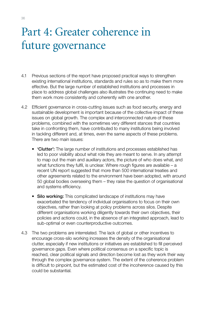# Part 4: Greater coherence in future governance

- 4.1 Previous sections of the report have proposed practical ways to strengthen existing international institutions, standards and rules so as to make them more effective. But the large number of established institutions and processes in place to address global challenges also illustrates the continuing need to make them work more consistently and coherently with one another.
- 4.2 Efficient governance in cross-cutting issues such as food security, energy and sustainable development is important because of the collective impact of these issues on global growth. The complex and interconnected nature of these problems, combined with the sometimes very different stances that countries take in confronting them, have contributed to many institutions being involved in tackling different and, at times, even the same aspects of these problems. There are two main issues:
	- 'Clutter': The large number of institutions and processes established has led to poor visibility about what role they are meant to serve. In any attempt to map out the main and auxiliary actors, the picture of who does what, and what functions they fulfil, is unclear. Where rough figures are available – a recent UN report suggested that more than 500 international treaties and other agreements related to the environment have been adopted, with around 50 global bodies overseeing them – they raise the question of organisational and systems efficiency.
	- Silo working: This complicated landscape of institutions may have exacerbated the tendency of individual organisations to focus on their own objectives, rather than looking at policy problems across silos. Despite different organisations working diligently towards their own objectives, their policies and actions could, in the absence of an integrated approach, lead to sub-optimal or even counterproductive outcomes.
- 4.3 The two problems are interrelated. The lack of global or other incentives to encourage cross-silo working increases the density of the organisational clutter, especially if new institutions or initiatives are established to fill perceived governance gaps. Even where political consensus on a specific topic is reached, clear political signals and direction become lost as they work their way through the complex governance system. The extent of the coherence problem is difficult to pinpoint, but the estimated cost of the incoherence caused by this could be substantial.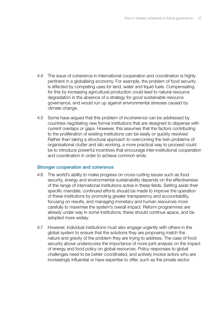- 4.4 The issue of coherence in international cooperation and coordination is highly pertinent in a globalising economy. For example, the problem of food security is affected by competing uses for land, water and liquid fuels. Compensating for this by increasing agricultural production could lead to natural resource degradation in the absence of a strategy for good sustainable resource governance, and would run up against environmental stresses caused by climate change.
- 4.5 Some have argued that this problem of incoherence can be addressed by countries negotiating new formal institutions that are designed to dispense with current overlaps or gaps. However, this assumes that the factors contributing to the proliferation of existing institutions can be easily or quickly resolved. Rather than taking a structural approach to overcoming the twin problems of organisational clutter and silo working, a more practical way to proceed could be to introduce powerful incentives that encourage inter-institutional cooperation and coordination in order to achieve common ends.

#### Stronger cooperation and coherence

- 4.6 The world's ability to make progress on cross-cutting issues such as food security, energy and environmental sustainability depends on the effectiveness of the range of international institutions active in these fields. Setting aside their specific mandate, continued efforts should be made to improve the operation of these institutions by promoting greater transparency and accountability, focusing on results, and managing monetary and human resources more carefully to maximise the system's overall impact. Reform programmes are already under way in some institutions; these should continue apace, and be adopted more widely.
- 4.7 However, individual institutions must also engage urgently with others in the global system to ensure that the solutions they are proposing match the nature and gravity of the problem they are trying to address. The case of food security above underscores the importance of more joint analysis on the impact of energy and food policy on global resources. Policy responses to global challenges need to be better coordinated, and actively involve actors who are increasingly influential or have expertise to offer, such as the private sector.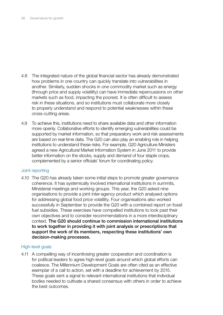- 4.8 The integrated nature of the global financial sector has already demonstrated how problems in one country can quickly translate into vulnerabilities in another. Similarly, sudden shocks in one commodity market such as energy (through price and supply volatility) can have immediate repercussions on other markets such as food, impacting the poorest. It is often difficult to assess risk in these situations, and so institutions must collaborate more closely to properly understand and respond to potential weaknesses within these cross-cutting areas.
- 4.9 To achieve this, institutions need to share available data and other information more openly. Collaborative efforts to identify emerging vulnerabilities could be supported by market information, so that preparatory work and risk assessments are based on real-time data. The G20 can also play an enabling role in helping institutions to understand these risks. For example, G20 Agriculture Ministers agreed a new Agricultural Market Information System in June 2011 to provide better information on the stocks, supply and demand of four staple crops, complemented by a senior officials' forum for coordinating policy.

#### Joint reporting

4.10 The G20 has already taken some initial steps to promote greater governance coherence. It has systemically involved international institutions in summits, Ministerial meetings and working groups. This year, the G20 asked nine organisations to provide a joint inter-agency product which analysed options for addressing global food price volatility. Four organisations also worked successfully in September to provide the G20 with a combined report on fossil fuel subsidies. These exercises have compelled institutions to look past their own objectives and to consider recommendations in a more interdisciplinary context. The G20 should continue to commission international institutions to work together in providing it with joint analysis or prescriptions that support the work of its members, respecting these institutions' own decision-making processes.

# High-level goals

4.11 A compelling way of incentivising greater cooperation and coordination is for political leaders to agree high-level goals around which global efforts can coalesce. The Millennium Development Goals are often cited as an effective exemplar of a call to action, set with a deadline for achievement by 2015. These goals sent a signal to relevant international institutions that individual bodies needed to cultivate a shared consensus with others in order to achieve the best outcomes.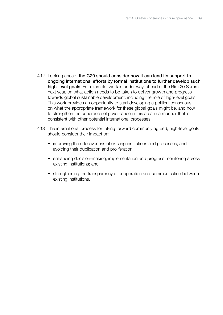- 4.12 Looking ahead, the G20 should consider how it can lend its support to ongoing international efforts by formal institutions to further develop such high-level goals. For example, work is under way, ahead of the Rio+20 Summit next year, on what action needs to be taken to deliver growth and progress towards global sustainable development, including the role of high-level goals. This work provides an opportunity to start developing a political consensus on what the appropriate framework for these global goals might be, and how to strengthen the coherence of governance in this area in a manner that is consistent with other potential international processes.
- 4.13 The international process for taking forward commonly agreed, high-level goals should consider their impact on:
	- improving the effectiveness of existing institutions and processes, and avoiding their duplication and proliferation;
	- enhancing decision-making, implementation and progress monitoring across existing institutions; and
	- strengthening the transparency of cooperation and communication between existing institutions.